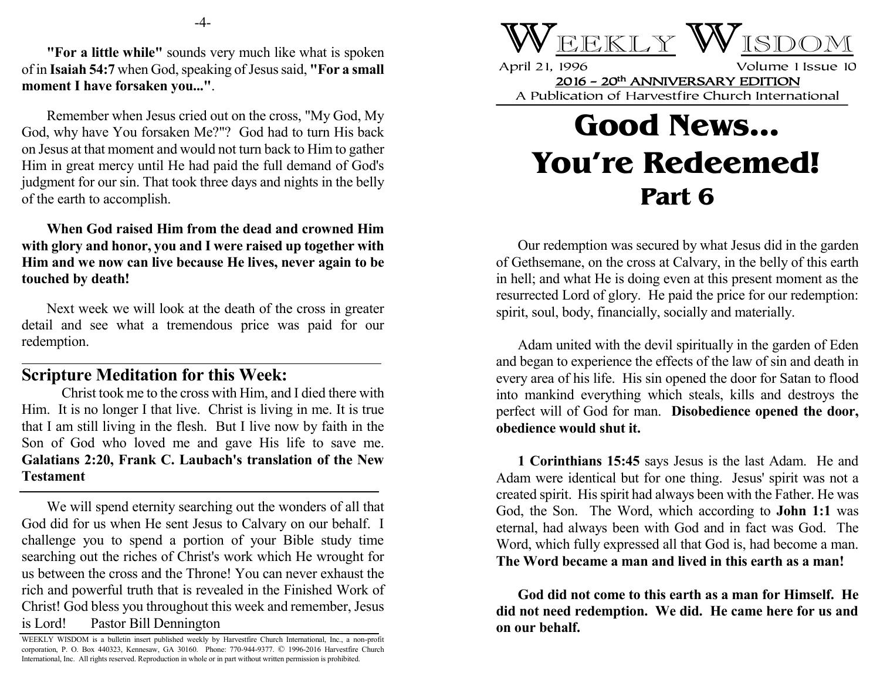**"For a little while"** sounds very much like what is spoken of in **Isaiah 54:7** when God, speaking of Jesus said, **"For a small moment I have forsaken you..."**.

Remember when Jesus cried out on the cross, "My God, My God, why have You forsaken Me?"? God had to turn His back on Jesus at that moment and would not turn back to Him to gather Him in great mercy until He had paid the full demand of God's judgment for our sin. That took three days and nights in the belly of the earth to accomplish.

**When God raised Him from the dead and crowned Him with glory and honor, you and I were raised up together with Him and we now can live because He lives, never again to be touched by death!**

Next week we will look at the death of the cross in greater detail and see what a tremendous price was paid for our redemption.

## **Scripture Meditation for this Week:**

Christ took me to the cross with Him, and I died there with Him. It is no longer I that live. Christ is living in me. It is true that I am still living in the flesh. But I live now by faith in the Son of God who loved me and gave His life to save me. **Galatians 2:20, Frank C. Laubach's translation of the New Testament**

We will spend eternity searching out the wonders of all that God did for us when He sent Jesus to Calvary on our behalf. I challenge you to spend a portion of your Bible study time searching out the riches of Christ's work which He wrought for us between the cross and the Throne! You can never exhaust the rich and powerful truth that is revealed in the Finished Work of Christ! God bless you throughout this week and remember, Jesus is Lord! Pastor Bill Dennington



April 21, 1996 Volume 1 Issue 10 2016 - 20th ANNIVERSARY EDITION A Publication of Harvestfire Church International

## **Good News... You're Redeemed! Part 6**

Our redemption was secured by what Jesus did in the garden of Gethsemane, on the cross at Calvary, in the belly of this earth in hell; and what He is doing even at this present moment as the resurrected Lord of glory. He paid the price for our redemption: spirit, soul, body, financially, socially and materially.

Adam united with the devil spiritually in the garden of Eden and began to experience the effects of the law of sin and death in every area of his life. His sin opened the door for Satan to flood into mankind everything which steals, kills and destroys the perfect will of God for man. **Disobedience opened the door, obedience would shut it.**

**1 Corinthians 15:45** says Jesus is the last Adam. He and Adam were identical but for one thing. Jesus' spirit was not a created spirit. His spirit had always been with the Father. He was God, the Son. The Word, which according to **John 1:1** was eternal, had always been with God and in fact was God. The Word, which fully expressed all that God is, had become a man. **The Word became a man and lived in this earth as a man!**

**God did not come to this earth as a man for Himself. He did not need redemption. We did. He came here for us and on our behalf.**

WEEKLY WISDOM is a bulletin insert published weekly by Harvestfire Church International, Inc., a non-profit corporation, P. O. Box 440323, Kennesaw, GA 30160. Phone: 770-944-9377. © 1996-2016 Harvestfire Church International, Inc. All rights reserved. Reproduction in whole or in part without written permission is prohibited.